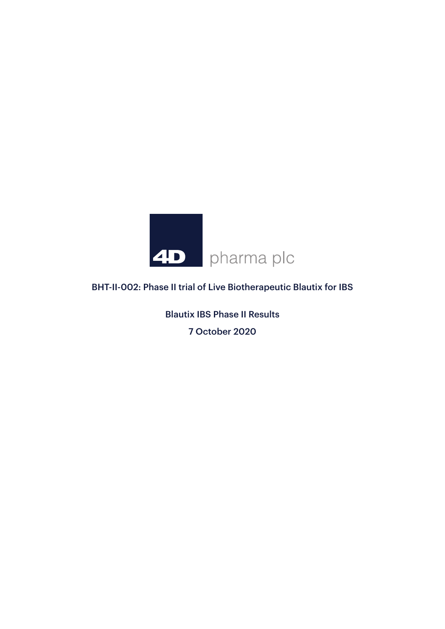

# BHT-II-002: Phase II trial of Live Biotherapeutic Blautix for IBS

Blautix IBS Phase II Results 7 October 2020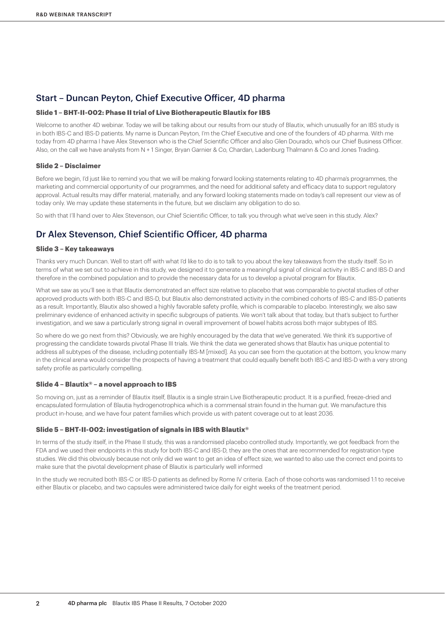## Start – Duncan Peyton, Chief Executive Officer, 4D pharma

#### **Slide 1 – BHT-II-002: Phase II trial of Live Biotherapeutic Blautix for IBS**

Welcome to another 4D webinar. Today we will be talking about our results from our study of Blautix, which unusually for an IBS study is in both IBS-C and IBS-D patients. My name is Duncan Peyton, I'm the Chief Executive and one of the founders of 4D pharma. With me today from 4D pharma I have Alex Stevenson who is the Chief Scientific Officer and also Glen Dourado, who's our Chief Business Officer. Also, on the call we have analysts from N + 1 Singer, Bryan Garnier & Co, Chardan, Ladenburg Thalmann & Co and Jones Trading.

#### **Slide 2 – Disclaimer**

Before we begin, I'd just like to remind you that we will be making forward looking statements relating to 4D pharma's programmes, the marketing and commercial opportunity of our programmes, and the need for additional safety and efficacy data to support regulatory approval. Actual results may differ material, materially, and any forward looking statements made on today's call represent our view as of today only. We may update these statements in the future, but we disclaim any obligation to do so.

So with that I'll hand over to Alex Stevenson, our Chief Scientific Officer, to talk you through what we've seen in this study. Alex?

## Dr Alex Stevenson, Chief Scientific Officer, 4D pharma

#### **Slide 3 – Key takeaways**

Thanks very much Duncan. Well to start off with what I'd like to do is to talk to you about the key takeaways from the study itself. So in terms of what we set out to achieve in this study, we designed it to generate a meaningful signal of clinical activity in IBS-C and IBS-D and therefore in the combined population and to provide the necessary data for us to develop a pivotal program for Blautix.

What we saw as you'll see is that Blautix demonstrated an effect size relative to placebo that was comparable to pivotal studies of other approved products with both IBS-C and IBS-D, but Blautix also demonstrated activity in the combined cohorts of IBS-C and IBS-D patients as a result. Importantly, Blautix also showed a highly favorable safety profile, which is comparable to placebo. Interestingly, we also saw preliminary evidence of enhanced activity in specific subgroups of patients. We won't talk about that today, but that's subject to further investigation, and we saw a particularly strong signal in overall improvement of bowel habits across both major subtypes of IBS.

So where do we go next from this? Obviously, we are highly encouraged by the data that we've generated. We think it's supportive of progressing the candidate towards pivotal Phase III trials. We think the data we generated shows that Blautix has unique potential to address all subtypes of the disease, including potentially IBS-M [mixed]. As you can see from the quotation at the bottom, you know many in the clinical arena would consider the prospects of having a treatment that could equally benefit both IBS-C and IBS-D with a very strong safety profile as particularly compelling.

#### **Slide 4 – Blautix® – a novel approach to IBS**

So moving on, just as a reminder of Blautix itself, Blautix is a single strain Live Biotherapeutic product. It is a purified, freeze-dried and encapsulated formulation of Blautia hydrogenotrophica which is a commensal strain found in the human gut. We manufacture this product in-house, and we have four patent families which provide us with patent coverage out to at least 2036.

#### **Slide 5 – BHT-II-002: investigation of signals in IBS with Blautix®**

In terms of the study itself, in the Phase II study, this was a randomised placebo controlled study. Importantly, we got feedback from the FDA and we used their endpoints in this study for both IBS-C and IBS-D, they are the ones that are recommended for registration type studies. We did this obviously because not only did we want to get an idea of effect size, we wanted to also use the correct end points to make sure that the pivotal development phase of Blautix is particularly well informed

In the study we recruited both IBS-C or IBS-D patients as defined by Rome IV criteria. Each of those cohorts was randomised 1:1 to receive either Blautix or placebo, and two capsules were administered twice daily for eight weeks of the treatment period.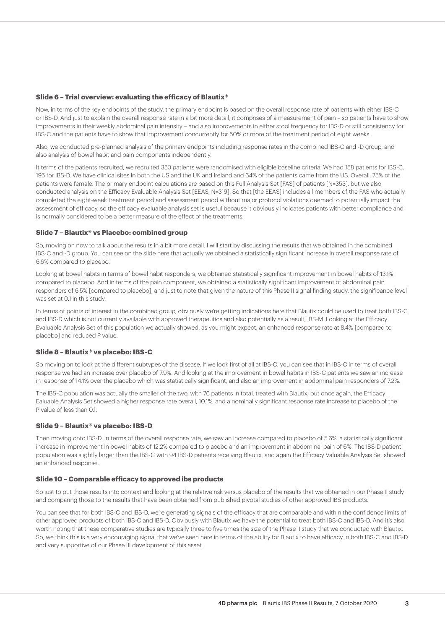#### **Slide 6 – Trial overview: evaluating the efficacy of Blautix®**

Now, in terms of the key endpoints of the study, the primary endpoint is based on the overall response rate of patients with either IBS-C or IBS-D. And just to explain the overall response rate in a bit more detail, it comprises of a measurement of pain – so patients have to show improvements in their weekly abdominal pain intensity – and also improvements in either stool frequency for IBS-D or still consistency for IBS-C and the patients have to show that improvement concurrently for 50% or more of the treatment period of eight weeks.

Also, we conducted pre-planned analysis of the primary endpoints including response rates in the combined IBS-C and -D group, and also analysis of bowel habit and pain components independently.

It terms of the patients recruited, we recruited 353 patients were randomised with eligible baseline criteria. We had 158 patients for IBS-C, 195 for IBS-D. We have clinical sites in both the US and the UK and Ireland and 64% of the patients came from the US. Overall, 75% of the patients were female. The primary endpoint calculations are based on this Full Analysis Set [FAS] of patients [N=353], but we also conducted analysis on the Efficacy Evaluable Analysis Set [EEAS, N=319]. So that [the EEAS] includes all members of the FAS who actually completed the eight-week treatment period and assessment period without major protocol violations deemed to potentially impact the assessment of efficacy, so the efficacy evaluable analysis set is useful because it obviously indicates patients with better compliance and is normally considered to be a better measure of the effect of the treatments.

#### **Slide 7 – Blautix® vs Placebo: combined group**

So, moving on now to talk about the results in a bit more detail. I will start by discussing the results that we obtained in the combined IBS-C and -D group. You can see on the slide here that actually we obtained a statistically significant increase in overall response rate of 6.6% compared to placebo.

Looking at bowel habits in terms of bowel habit responders, we obtained statistically significant improvement in bowel habits of 13.1% compared to placebo. And in terms of the pain component, we obtained a statistically significant improvement of abdominal pain responders of 6.5% [compared to placebo], and just to note that given the nature of this Phase II signal finding study, the significance level was set at 01 in this study.

In terms of points of interest in the combined group, obviously we're getting indications here that Blautix could be used to treat both IBS-C and IBS-D which is not currently available with approved therapeutics and also potentially as a result, IBS-M. Looking at the Efficacy Evaluable Analysis Set of this population we actually showed, as you might expect, an enhanced response rate at 8.4% [compared to placebo] and reduced P value.

#### **Slide 8 – Blautix® vs placebo: IBS-C**

So moving on to look at the different subtypes of the disease. If we look first of all at IBS-C, you can see that in IBS-C in terms of overall response we had an increase over placebo of 7.9%. And looking at the improvement in bowel habits in IBS-C patients we saw an increase in response of 14.1% over the placebo which was statistically significant, and also an improvement in abdominal pain responders of 7.2%.

The IBS-C population was actually the smaller of the two, with 76 patients in total, treated with Blautix, but once again, the Efficacy Ealuable Analysis Set showed a higher response rate overall, 10.1%, and a nominally significant response rate increase to placebo of the P value of less than 0.1.

#### **Slide 9 – Blautix® vs placebo: IBS-D**

Then moving onto IBS-D. In terms of the overall response rate, we saw an increase compared to placebo of 5.6%, a statistically significant increase in improvement in bowel habits of 12.2% compared to placebo and an improvement in abdominal pain of 6%. The IBS-D patient population was slightly larger than the IBS-C with 94 IBS-D patients receiving Blautix, and again the Efficacy Valuable Analysis Set showed an enhanced response.

#### **Slide 10 – Comparable efficacy to approved ibs products**

So just to put those results into context and looking at the relative risk versus placebo of the results that we obtained in our Phase II study and comparing those to the results that have been obtained from published pivotal studies of other approved IBS products.

You can see that for both IBS-C and IBS-D, we're generating signals of the efficacy that are comparable and within the confidence limits of other approved products of both IBS-C and IBS-D. Obviously with Blautix we have the potential to treat both IBS-C and IBS-D. And it's also worth noting that these comparative studies are typically three to five times the size of the Phase II study that we conducted with Blautix. So, we think this is a very encouraging signal that we've seen here in terms of the ability for Blautix to have efficacy in both IBS-C and IBS-D and very supportive of our Phase III development of this asset.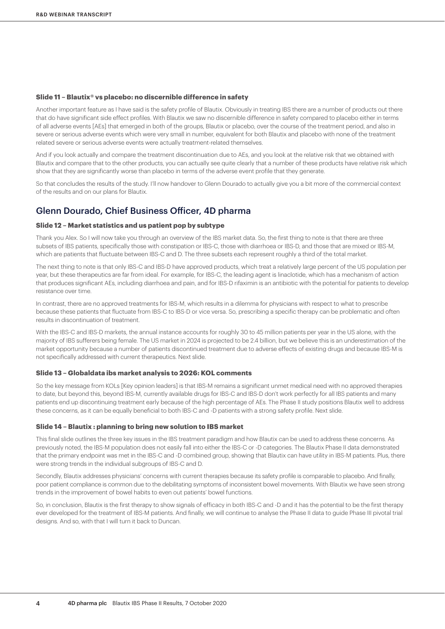#### **Slide 11 – Blautix® vs placebo: no discernible difference in safety**

Another important feature as I have said is the safety profile of Blautix. Obviously in treating IBS there are a number of products out there that do have significant side effect profiles. With Blautix we saw no discernible difference in safety compared to placebo either in terms of all adverse events [AEs] that emerged in both of the groups, Blautix or placebo, over the course of the treatment period, and also in severe or serious adverse events which were very small in number, equivalent for both Blautix and placebo with none of the treatment related severe or serious adverse events were actually treatment-related themselves.

And if you look actually and compare the treatment discontinuation due to AEs, and you look at the relative risk that we obtained with Blautix and compare that to the other products, you can actually see quite clearly that a number of these products have relative risk which show that they are significantly worse than placebo in terms of the adverse event profile that they generate.

So that concludes the results of the study. I'll now handover to Glenn Dourado to actually give you a bit more of the commercial context of the results and on our plans for Blautix.

## Glenn Dourado, Chief Business Officer, 4D pharma

#### **Slide 12 – Market statistics and us patient pop by subtype**

Thank you Alex. So I will now take you through an overview of the IBS market data. So, the first thing to note is that there are three subsets of IBS patients, specifically those with constipation or IBS-C, those with diarrhoea or IBS-D, and those that are mixed or IBS-M, which are patients that fluctuate between IBS-C and D. The three subsets each represent roughly a third of the total market.

The next thing to note is that only IBS-C and IBS-D have approved products, which treat a relatively large percent of the US population per year, but these therapeutics are far from ideal. For example, for IBS-C, the leading agent is linaclotide, which has a mechanism of action that produces significant AEs, including diarrhoea and pain, and for IBS-D rifaximin is an antibiotic with the potential for patients to develop resistance over time.

In contrast, there are no approved treatments for IBS-M, which results in a dilemma for physicians with respect to what to prescribe because these patients that fluctuate from IBS-C to IBS-D or vice versa. So, prescribing a specific therapy can be problematic and often results in discontinuation of treatment.

With the IBS-C and IBS-D markets, the annual instance accounts for roughly 30 to 45 million patients per year in the US alone, with the majority of IBS sufferers being female. The US market in 2024 is projected to be 2.4 billion, but we believe this is an underestimation of the market opportunity because a number of patients discontinued treatment due to adverse effects of existing drugs and because IBS-M is not specifically addressed with current therapeutics. Next slide.

#### **Slide 13 – Globaldata ibs market analysis to 2026: KOL comments**

So the key message from KOLs [Key opinion leaders] is that IBS-M remains a significant unmet medical need with no approved therapies to date, but beyond this, beyond IBS-M, currently available drugs for IBS-C and IBS-D don't work perfectly for all IBS patients and many patients end up discontinuing treatment early because of the high percentage of AEs. The Phase II study positions Blautix well to address these concerns, as it can be equally beneficial to both IBS-C and -D patients with a strong safety profile. Next slide.

#### **Slide 14 – Blautix : planning to bring new solution to IBS market**

This final slide outlines the three key issues in the IBS treatment paradigm and how Blautix can be used to address these concerns. As previously noted, the IBS-M population does not easily fall into either the IBS-C or -D categories. The Blautix Phase II data demonstrated that the primary endpoint was met in the IBS-C and -D combined group, showing that Blautix can have utility in IBS-M patients. Plus, there were strong trends in the individual subgroups of IBS-C and D.

Secondly, Blautix addresses physicians' concerns with current therapies because its safety profile is comparable to placebo. And finally, poor patient compliance is common due to the debilitating symptoms of inconsistent bowel movements. With Blautix we have seen strong trends in the improvement of bowel habits to even out patients' bowel functions.

So, in conclusion, Blautix is the first therapy to show signals of efficacy in both IBS-C and -D and it has the potential to be the first therapy ever developed for the treatment of IBS-M patients. And finally, we will continue to analyse the Phase II data to guide Phase III pivotal trial designs. And so, with that I will turn it back to Duncan.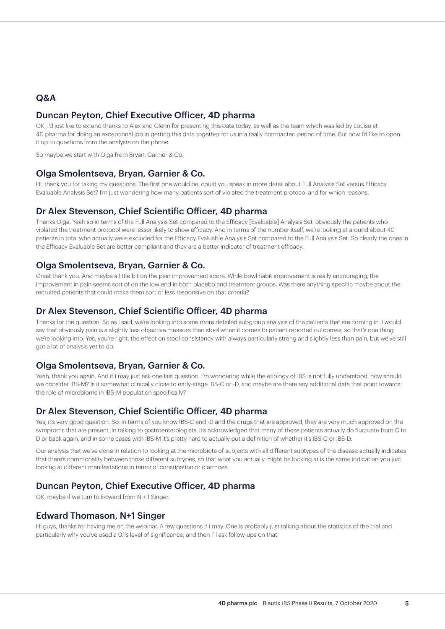## Q&A

## Duncan Peyton, Chief Executive Officer, 4D pharma

OK, I'd just like to extend thanks to Alex and Glenn for presenting this data today, as well as the team which was led by Louise at 4D pharma for doing an exceptional job in getting this data together for us in a really compacted period of time. But now I'd like to open it up to questions from the analysts on the phone.

So maybe we start with Olga from Bryan, Garnier & Co.

### Olga Smolentseva, Bryan, Garnier & Co.

Hi, thank you for taking my questions. The first one would be, could you speak in more detail about Full Analysis Set versus Efficacy Evaluable Analysis Set? I'm just wondering how many patients sort of violated the treatment protocol and for which reasons.

## Dr Alex Stevenson, Chief Scientific Officer, 4D pharma

Thanks Olga. Yeah so in terms of the Full Analysis Set compared to the Efficacy [Evaluable] Analysis Set, obviously the patients who violated the treatment protocol were lesser likely to show efficacy. And in terms of the number itself, we're looking at around about 40 patients in total who actually were excluded for the Efficacy Evaluable Analysis Set compared to the Full Analysis Set. So clearly the ones in the Efficacy Evaluable Set are better compliant and they are a better indicator of treatment efficacy.

### Olga Smolentseva, Bryan, Garnier & Co.

Great thank you. And maybe a little bit on the pain improvement score. While bowl habit improvement is really encouraging, the improvement in pain seems sort of on the low end in both placebo and treatment groups. Was there anything specific maybe about the recruited patients that could make them sort of less responsive on that criteria?

## Dr Alex Stevenson, Chief Scientific Officer, 4D pharma

Thanks for the question. So as I said, we're looking into some more detailed subgroup analysis of the patients that are coming in. I would say that obviously pain is a slightly less objective measure than stool when it comes to patient reported outcomes, so that's one thing we're looking into. Yes, you're right, the effect on stool consistency with always particularly strong and slightly less than pain, but we've still got a lot of analysis yet to do.

## Olga Smolentseva, Bryan, Garnier & Co.

Yeah, thank you again. And if I may just ask one last question. I'm wondering while the etiology of IBS is not fully understood, how should we consider IBS-M? Is it somewhat clinically close to early-stage IBS-C or -D, and maybe are there any additional data that point towards the role of microbiome in IBS-M population specifically?

## Dr Alex Stevenson, Chief Scientific Officer, 4D pharma

Yes, it's very good question. So, in terms of you know IBS-C and -D and the drugs that are approved, they are very much approved on the symptoms that are present. In talking to gastroenterologists, it's acknowledged that many of these patients actually do fluctuate from C to D or back again, and in some cases with IBS-M it's pretty hard to actually put a definition of whether it's IBS-C or IBS-D.

Our analysis that we've done in relation to looking at the microbiota of subjects with all different subtypes of the disease actually indicates that there's commonality between those different subtypes, so that what you actually might be looking at is the same indication you just looking at different manifestations in terms of constipation or diarrhoea.

## Duncan Peyton, Chief Executive Officer, 4D pharma

OK, maybe if we turn to Edward from N + 1 Singer.

## Edward Thomason, N+1 Singer

Hi guys, thanks for having me on the webinar. A few questions if I may. One is probably just talking about the statistics of the trial and particularly why you've used a 0.1's level of significance, and then I'll ask follow-ups on that.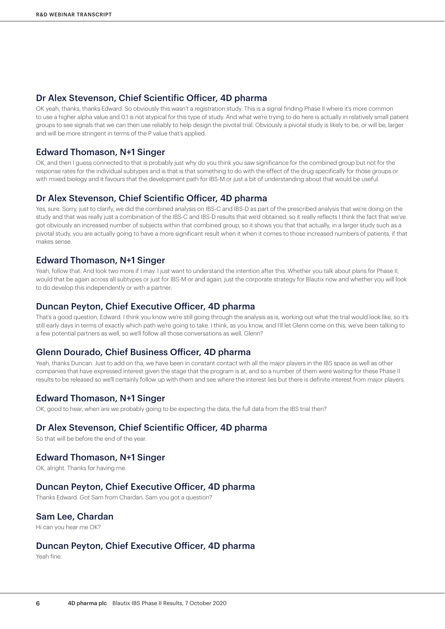### Dr Alex Stevenson, Chief Scientific Officer, 4D pharma

OK yeah, thanks, thanks Edward. So obviously this wasn't a registration study. This is a signal finding Phase II where it's more common to use a higher alpha value and 0.1 is not atypical for this type of study. And what we're trying to do here is actually in relatively small patient groups to see signals that we can then use reliably to help design the pivotal trial. Obviously a pivotal study is likely to be, or will be, larger and will be more stringent in terms of the P value that's applied.

### Edward Thomason, N+1 Singer

OK, and then I guess connected to that is probably just why do you think you saw significance for the combined group but not for the response rates for the individual subtypes and is that is that something to do with the effect of the drug specifically for those groups or with mixed biology and it favours that the development path for IBS-M or just a bit of understanding about that would be useful.

### Dr Alex Stevenson, Chief Scientific Officer, 4D pharma

Yes, sure. Sorry, just to clarify, we did the combined analysis on IBS-C and IBS-D as part of the prescribed analysis that we're doing on the study and that was really just a combination of the IBS-C and IBS-D results that we'd obtained, so it really reflects I think the fact that we've got obviously an increased number of subjects within that combined group, so it shows you that that actually, in a larger study such as a pivotal study, you are actually going to have a more significant result when it when it comes to those increased numbers of patients, if that makes sense.

### Edward Thomason, N+1 Singer

Yeah, follow that. And look two more if I may. I just want to understand the intention after this. Whether you talk about plans for Phase II, would that be again across all subtypes or just for IBS-M or and again, just the corporate strategy for Blautix now and whether you will look to do develop this independently or with a partner.

### Duncan Peyton, Chief Executive Officer, 4D pharma

That's a good question, Edward. I think you know we're still going through the analysis as is, working out what the trial would look like, so it's still early days in terms of exactly which path we're going to take. I think, as you know, and I'll let Glenn come on this, we've been talking to a few potential partners as well, so we'll follow all those conversations as well, Glenn?

### Glenn Dourado, Chief Business Officer, 4D pharma

Yeah, thanks Duncan. Just to add on tha, we have been in constant contact with all the major players in the IBS space as well as other companies that have expressed interest given the stage that the program is at, and so a number of them were waiting for these Phase II results to be released so we'll certainly follow up with them and see where the interest lies but there is definite interest from major players.

## Edward Thomason, N+1 Singer

OK, good to hear, when are we probably going to be expecting the data, the full data from the IBS trial then?

### Dr Alex Stevenson, Chief Scientific Officer, 4D pharma

So that will be before the end of the year.

## Edward Thomason, N+1 Singer

OK, alright. Thanks for having me.

### Duncan Peyton, Chief Executive Officer, 4D pharma

Thanks Edward. Got Sam from Chardan. Sam you got a question?

## Sam Lee, Chardan

Hi can you hear me OK?

## Duncan Peyton, Chief Executive Officer, 4D pharma

Yeah fine.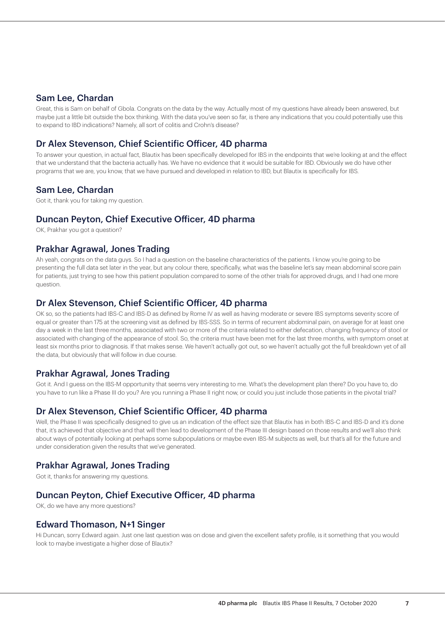## Sam Lee, Chardan

Great, this is Sam on behalf of Gbola. Congrats on the data by the way. Actually most of my questions have already been answered, but maybe just a little bit outside the box thinking. With the data you've seen so far, is there any indications that you could potentially use this to expand to IBD indications? Namely, all sort of colitis and Crohn's disease?

## Dr Alex Stevenson, Chief Scientific Officer, 4D pharma

To answer your question, in actual fact, Blautix has been specifically developed for IBS in the endpoints that we're looking at and the effect that we understand that the bacteria actually has. We have no evidence that it would be suitable for IBD. Obviously we do have other programs that we are, you know, that we have pursued and developed in relation to IBD, but Blautix is specifically for IBS.

### Sam Lee, Chardan

Got it, thank you for taking my question.

### Duncan Peyton, Chief Executive Officer, 4D pharma

OK, Prakhar you got a question?

## Prakhar Agrawal, Jones Trading

Ah yeah, congrats on the data guys. So I had a question on the baseline characteristics of the patients. I know you're going to be presenting the full data set later in the year, but any colour there, specifically, what was the baseline let's say mean abdominal score pain for patients, just trying to see how this patient population compared to some of the other trials for approved drugs, and I had one more question.

### Dr Alex Stevenson, Chief Scientific Officer, 4D pharma

OK so, so the patients had IBS-C and IBS-D as defined by Rome IV as well as having moderate or severe IBS symptoms severity score of equal or greater than 175 at the screening visit as defined by IBS-SSS. So in terms of recurrent abdominal pain, on average for at least one day a week in the last three months, associated with two or more of the criteria related to either defecation, changing frequency of stool or associated with changing of the appearance of stool. So, the criteria must have been met for the last three months, with symptom onset at least six months prior to diagnosis. If that makes sense. We haven't actually got out, so we haven't actually got the full breakdown yet of all the data, but obviously that will follow in due course.

## Prakhar Agrawal, Jones Trading

Got it. And I guess on the IBS-M opportunity that seems very interesting to me. What's the development plan there? Do you have to, do you have to run like a Phase III do you? Are you running a Phase II right now, or could you just include those patients in the pivotal trial?

### Dr Alex Stevenson, Chief Scientific Officer, 4D pharma

Well, the Phase II was specifically designed to give us an indication of the effect size that Blautix has in both IBS-C and IBS-D and it's done that, it's achieved that objective and that will then lead to development of the Phase III design based on those results and we'll also think about ways of potentially looking at perhaps some subpopulations or maybe even IBS-M subjects as well, but that's all for the future and under consideration given the results that we've generated.

## Prakhar Agrawal, Jones Trading

Got it, thanks for answering my questions.

## Duncan Peyton, Chief Executive Officer, 4D pharma

OK, do we have any more questions?

#### Edward Thomason, N+1 Singer

Hi Duncan, sorry Edward again. Just one last question was on dose and given the excellent safety profile, is it something that you would look to maybe investigate a higher dose of Blautix?